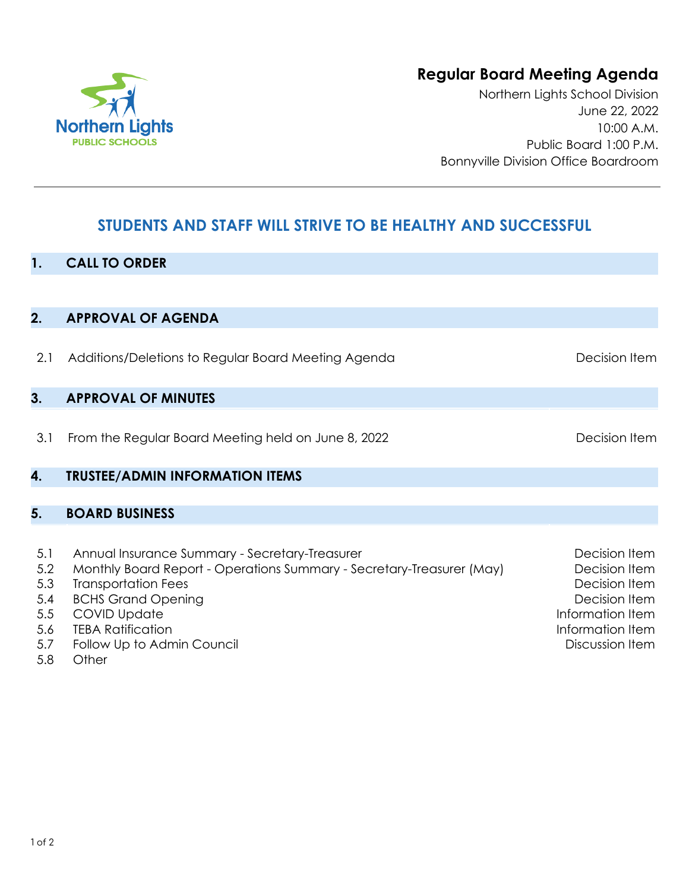# **Regular Board Meeting Agenda**

Northern Lights School Division June 22, 2022 10:00 A.M. Public Board 1:00 P.M. Bonnyville Division Office Boardroom

# **STUDENTS AND STAFF WILL STRIVE TO BE HEALTHY AND SUCCESSFUL**

### **1. CALL TO ORDER**

**2. APPROVAL OF AGENDA**

| 2.1 | Additions/Deletions to Regular Board Meeting Agenda                   | Decision Item     |
|-----|-----------------------------------------------------------------------|-------------------|
| 3.  | <b>APPROVAL OF MINUTES</b>                                            |                   |
| 3.1 | From the Regular Board Meeting held on June 8, 2022                   | Decision Item     |
| 4.  | <b>TRUSTEE/ADMIN INFORMATION ITEMS</b>                                |                   |
|     |                                                                       |                   |
| 5.  | <b>BOARD BUSINESS</b>                                                 |                   |
|     |                                                                       |                   |
| 5.1 | Annual Insurance Summary - Secretary-Treasurer                        | Decision Item     |
| 5.2 | Monthly Board Report - Operations Summary - Secretary-Treasurer (May) | Decision Item     |
| 5.3 | <b>Transportation Fees</b>                                            | Decision Item     |
| 5.4 | <b>BCHS Grand Opening</b>                                             | Decision Item     |
| 5.5 | COVID Update                                                          | Information Item- |

- 5.5 COVID Update
- 5.6 TEBA Ratification
- 5.7 Follow Up to Admin Council
- 5.8 **Other**



Information Item Discussion Item